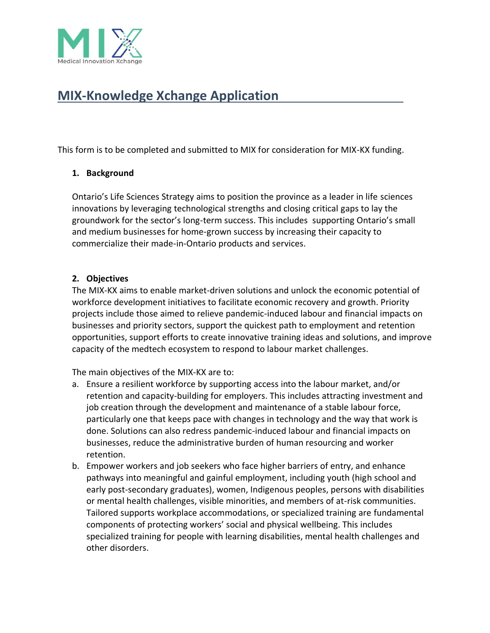

## **MIX-Knowledge Xchange Application**

This form is to be completed and submitted to MIX for consideration for MIX-KX funding.

#### **1. Background**

Ontario's Life Sciences Strategy aims to position the province as a leader in life sciences innovations by leveraging technological strengths and closing critical gaps to lay the groundwork for the sector's long-term success. This includes supporting Ontario's small and medium businesses for home-grown success by increasing their capacity to commercialize their made-in-Ontario products and services.

#### **2. Objectives**

The MIX-KX aims to enable market-driven solutions and unlock the economic potential of workforce development initiatives to facilitate economic recovery and growth. Priority projects include those aimed to relieve pandemic-induced labour and financial impacts on businesses and priority sectors, support the quickest path to employment and retention opportunities, support efforts to create innovative training ideas and solutions, and improve capacity of the medtech ecosystem to respond to labour market challenges.

The main objectives of the MIX-KX are to:

- a. Ensure a resilient workforce by supporting access into the labour market, and/or retention and capacity-building for employers. This includes attracting investment and job creation through the development and maintenance of a stable labour force, particularly one that keeps pace with changes in technology and the way that work is done. Solutions can also redress pandemic-induced labour and financial impacts on businesses, reduce the administrative burden of human resourcing and worker retention.
- b. Empower workers and job seekers who face higher barriers of entry, and enhance pathways into meaningful and gainful employment, including youth (high school and early post-secondary graduates), women, Indigenous peoples, persons with disabilities or mental health challenges, visible minorities, and members of at-risk communities. Tailored supports workplace accommodations, or specialized training are fundamental components of protecting workers' social and physical wellbeing. This includes specialized training for people with learning disabilities, mental health challenges and other disorders.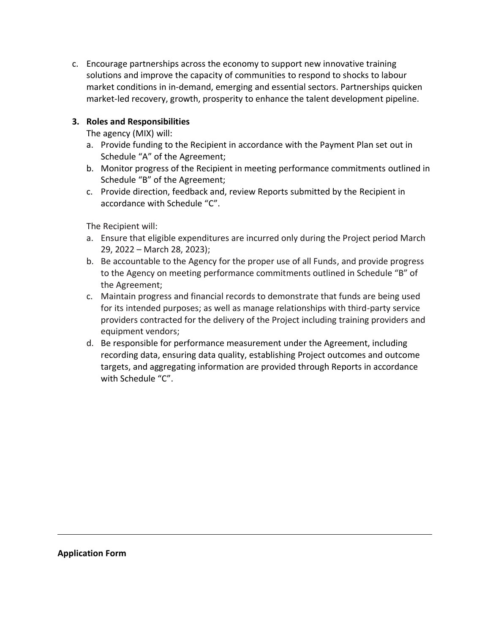c. Encourage partnerships across the economy to support new innovative training solutions and improve the capacity of communities to respond to shocks to labour market conditions in in-demand, emerging and essential sectors. Partnerships quicken market-led recovery, growth, prosperity to enhance the talent development pipeline.

#### **3. Roles and Responsibilities**

The agency (MIX) will:

- a. Provide funding to the Recipient in accordance with the Payment Plan set out in Schedule "A" of the Agreement;
- b. Monitor progress of the Recipient in meeting performance commitments outlined in Schedule "B" of the Agreement;
- c. Provide direction, feedback and, review Reports submitted by the Recipient in accordance with Schedule "C".

The Recipient will:

- a. Ensure that eligible expenditures are incurred only during the Project period March 29, 2022 – March 28, 2023);
- b. Be accountable to the Agency for the proper use of all Funds, and provide progress to the Agency on meeting performance commitments outlined in Schedule "B" of the Agreement;
- c. Maintain progress and financial records to demonstrate that funds are being used for its intended purposes; as well as manage relationships with third-party service providers contracted for the delivery of the Project including training providers and equipment vendors;
- d. Be responsible for performance measurement under the Agreement, including recording data, ensuring data quality, establishing Project outcomes and outcome targets, and aggregating information are provided through Reports in accordance with Schedule "C".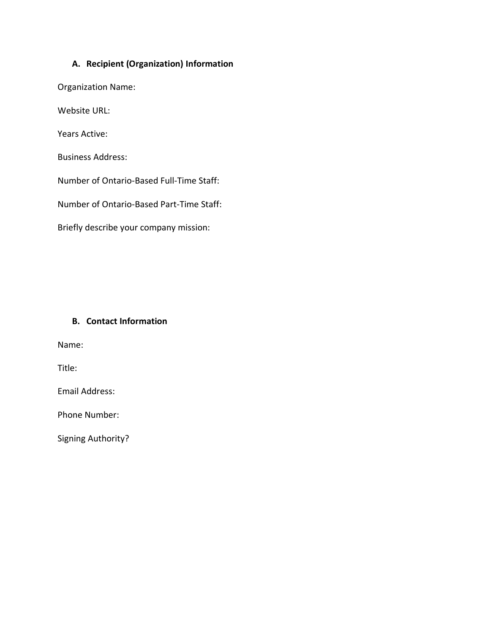#### **A. Recipient (Organization) Information**

Organization Name:

Website URL:

Years Active:

Business Address:

Number of Ontario-Based Full-Time Staff:

Number of Ontario-Based Part-Time Staff:

Briefly describe your company mission:

#### **B. Contact Information**

Name:

Title:

Email Address:

Phone Number:

Signing Authority?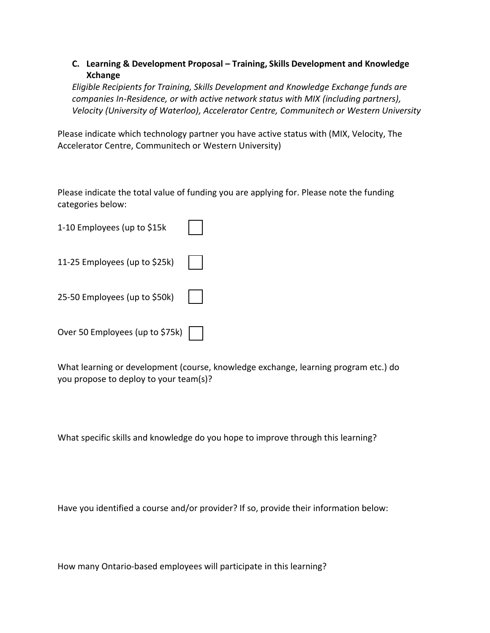#### **C. Learning & Development Proposal – Training, Skills Development and Knowledge Xchange**

*Eligible Recipients for Training, Skills Development and Knowledge Exchange funds are companies In-Residence, or with active network status with MIX (including partners), Velocity (University of Waterloo), Accelerator Centre, Communitech or Western University*

Please indicate which technology partner you have active status with (MIX, Velocity, The Accelerator Centre, Communitech or Western University)

Please indicate the total value of funding you are applying for. Please note the funding categories below:

| 1-10 Employees (up to \$15k     |  |
|---------------------------------|--|
| 11-25 Employees (up to \$25k)   |  |
| 25-50 Employees (up to \$50k)   |  |
| Over 50 Employees (up to \$75k) |  |

What learning or development (course, knowledge exchange, learning program etc.) do you propose to deploy to your team(s)?

What specific skills and knowledge do you hope to improve through this learning?

Have you identified a course and/or provider? If so, provide their information below:

How many Ontario-based employees will participate in this learning?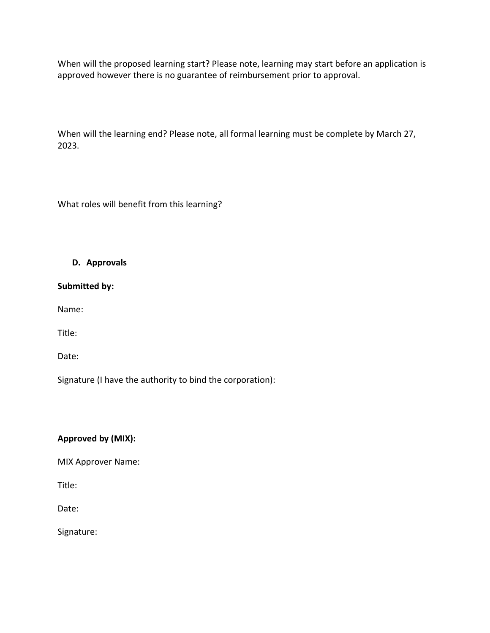When will the proposed learning start? Please note, learning may start before an application is approved however there is no guarantee of reimbursement prior to approval.

When will the learning end? Please note, all formal learning must be complete by March 27, 2023.

What roles will benefit from this learning?

#### **D. Approvals**

**Submitted by:**

Name:

Title:

Date:

Signature (I have the authority to bind the corporation):

#### **Approved by (MIX):**

MIX Approver Name:

Title:

Date:

Signature: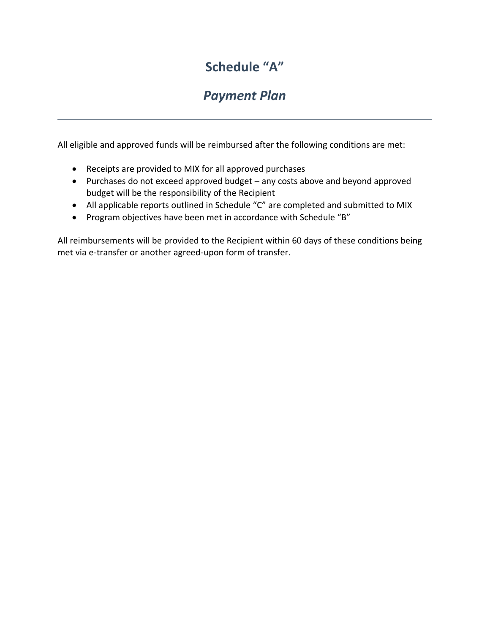## **Schedule "A"**

## *Payment Plan*

All eligible and approved funds will be reimbursed after the following conditions are met:

- Receipts are provided to MIX for all approved purchases
- Purchases do not exceed approved budget any costs above and beyond approved budget will be the responsibility of the Recipient
- All applicable reports outlined in Schedule "C" are completed and submitted to MIX
- Program objectives have been met in accordance with Schedule "B"

All reimbursements will be provided to the Recipient within 60 days of these conditions being met via e-transfer or another agreed-upon form of transfer.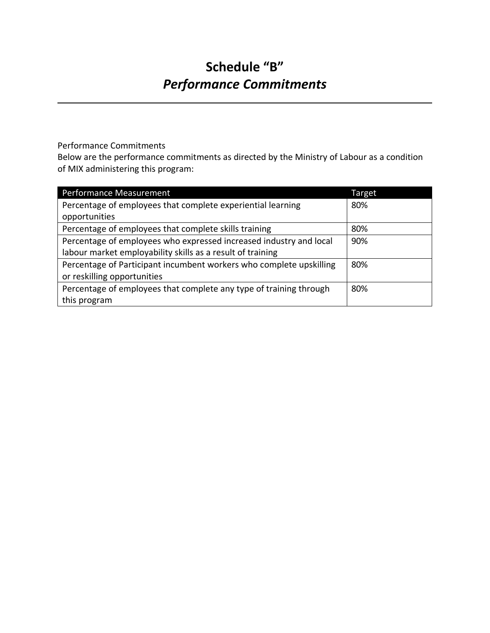# **Schedule "B"** *Performance Commitments*

Performance Commitments

Below are the performance commitments as directed by the Ministry of Labour as a condition of MIX administering this program:

| Performance Measurement                                             | Target |
|---------------------------------------------------------------------|--------|
| Percentage of employees that complete experiential learning         | 80%    |
| opportunities                                                       |        |
| Percentage of employees that complete skills training               | 80%    |
| Percentage of employees who expressed increased industry and local  | 90%    |
| labour market employability skills as a result of training          |        |
| Percentage of Participant incumbent workers who complete upskilling | 80%    |
| or reskilling opportunities                                         |        |
| Percentage of employees that complete any type of training through  | 80%    |
| this program                                                        |        |